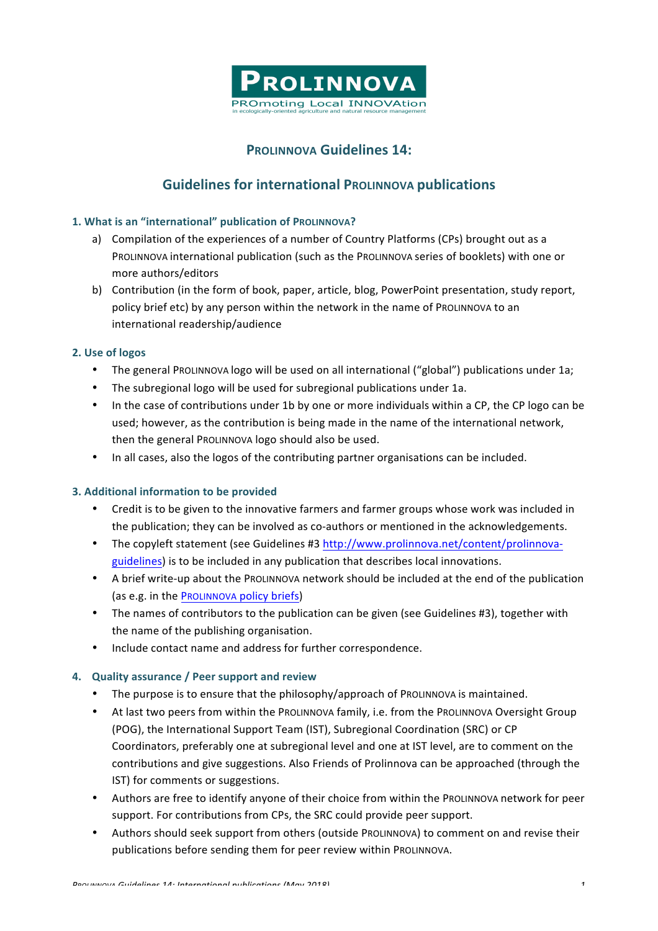

# **PROLINNOVA Guidelines 14:**

# **Guidelines for international PROLINNOVA publications**

## **1. What is an "international" publication of PROLINNOVA?**

- a) Compilation of the experiences of a number of Country Platforms (CPs) brought out as a PROLINNOVA international publication (such as the PROLINNOVA series of booklets) with one or more authors/editors
- b) Contribution (in the form of book, paper, article, blog, PowerPoint presentation, study report, policy brief etc) by any person within the network in the name of PROLINNOVA to an international readership/audience

### **2. Use of logos**

- The general ProLINNOVA logo will be used on all international ("global") publications under 1a;
- The subregional logo will be used for subregional publications under 1a.
- In the case of contributions under 1b by one or more individuals within a CP, the CP logo can be used; however, as the contribution is being made in the name of the international network, then the general ProLINNOVA logo should also be used.
- In all cases, also the logos of the contributing partner organisations can be included.

### **3. Additional information to be provided**

- Credit is to be given to the innovative farmers and farmer groups whose work was included in the publication; they can be involved as co-authors or mentioned in the acknowledgements.
- The copyleft statement (see Guidelines #3 http://www.prolinnova.net/content/prolinnovaguidelines) is to be included in any publication that describes local innovations.
- A brief write-up about the ProLINNOVA network should be included at the end of the publication (as e.g. in the PROLINNOVA policy briefs)
- The names of contributors to the publication can be given (see Guidelines #3), together with the name of the publishing organisation.
- Include contact name and address for further correspondence.

### **4. Quality assurance / Peer support and review**

- The purpose is to ensure that the philosophy/approach of PROLINNOVA is maintained.
- At last two peers from within the PROLINNOVA family, i.e. from the PROLINNOVA Oversight Group (POG), the International Support Team (IST), Subregional Coordination (SRC) or CP Coordinators, preferably one at subregional level and one at IST level, are to comment on the contributions and give suggestions. Also Friends of Prolinnova can be approached (through the IST) for comments or suggestions.
- Authors are free to identify anyone of their choice from within the PROLINNOVA network for peer support. For contributions from CPs, the SRC could provide peer support.
- Authors should seek support from others (outside PROLINNOVA) to comment on and revise their publications before sending them for peer review within PROLINNOVA.